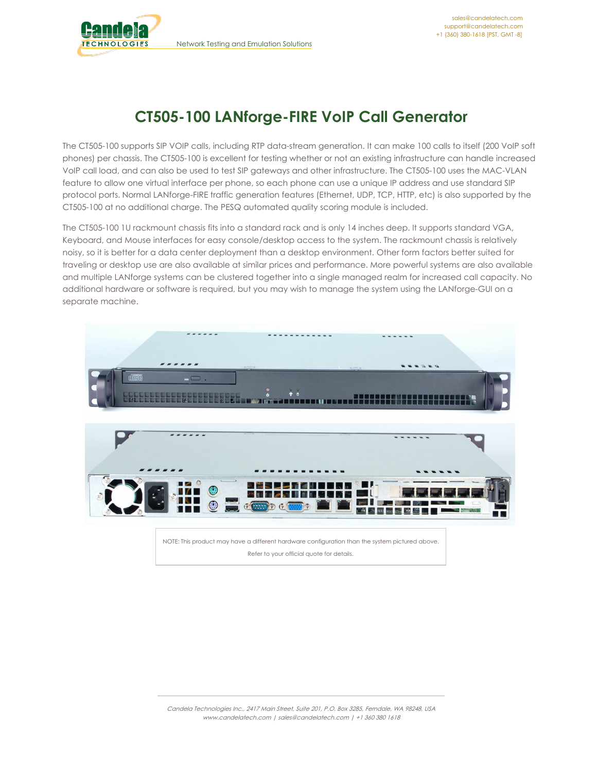

# **CT505-100 LANforge-FIRE VoIP Call Generator**

The CT505-100 supports SIP VOIP calls, including RTP data-stream generation. It can make 100 calls to itself (200 VoIP soft phones) per chassis. The CT505-100 is excellent for testing whether or not an existing infrastructure can handle increased VoIP call load, and can also be used to test SIP gateways and other infrastructure. The CT505-100 uses the MAC-VLAN feature to allow one virtual interface per phone, so each phone can use a unique IP address and use standard SIP protocol ports. Normal LANforge-FIRE traffic generation features (Ethernet, UDP, TCP, HTTP, etc) is also supported by the CT505-100 at no additional charge. The PESQ automated quality scoring module is included.

The CT505-100 1U rackmount chassis fits into a standard rack and is only 14 inches deep. It supports standard VGA, Keyboard, and Mouse interfaces for easy console/desktop access to the system. The rackmount chassis is relatively noisy, so it is better for a data center deployment than a desktop environment. Other form factors better suited for traveling or desktop use are also available at similar prices and performance. More powerful systems are also available and multiple LANforge systems can be clustered together into a single managed realm for increased call capacity. No additional hardware or software is required, but you may wish to manage the system using the LANforge-GUI on a separate machine.



Refer to your official quote for details.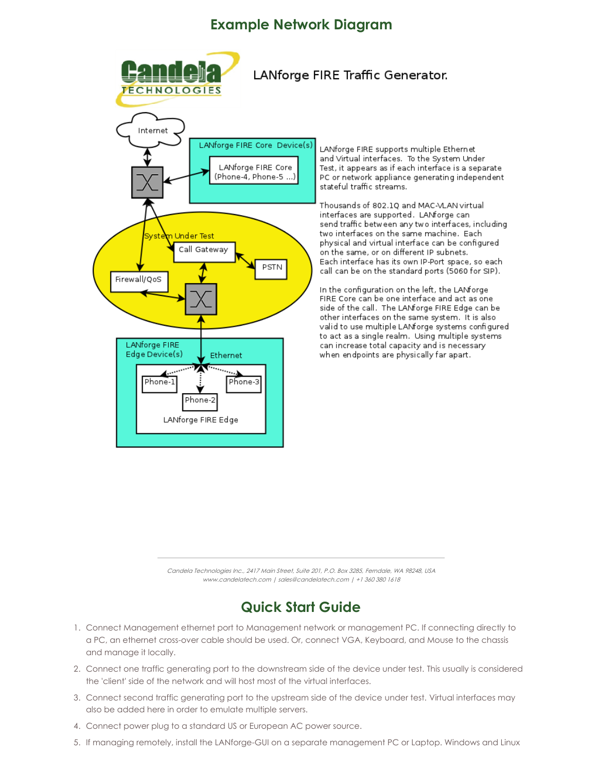#### **Example Network Diagram**



Candela Technologies Inc., 2417 Main Street, Suite 201, P.O. Box 3285, Ferndale, WA 98248, USA www.candelatech.com | sales@candelatech.com | +1 360 380 1618

## **Quick Start Guide**

- 1. Connect Management ethernet port to Management network or management PC. If connecting directly to a PC, an ethernet cross-over cable should be used. Or, connect VGA, Keyboard, and Mouse to the chassis and manage it locally.
- 2. Connect one traffic generating port to the downstream side of the device under test. This usually is considered the 'client' side of the network and will host most of the virtual interfaces.
- 3. Connect second traffic generating port to the upstream side of the device under test. Virtual interfaces may also be added here in order to emulate multiple servers.
- 4. Connect power plug to a standard US or European AC power source.
- 5. If managing remotely, install the LANforge-GUI on a separate management PC or Laptop. Windows and Linux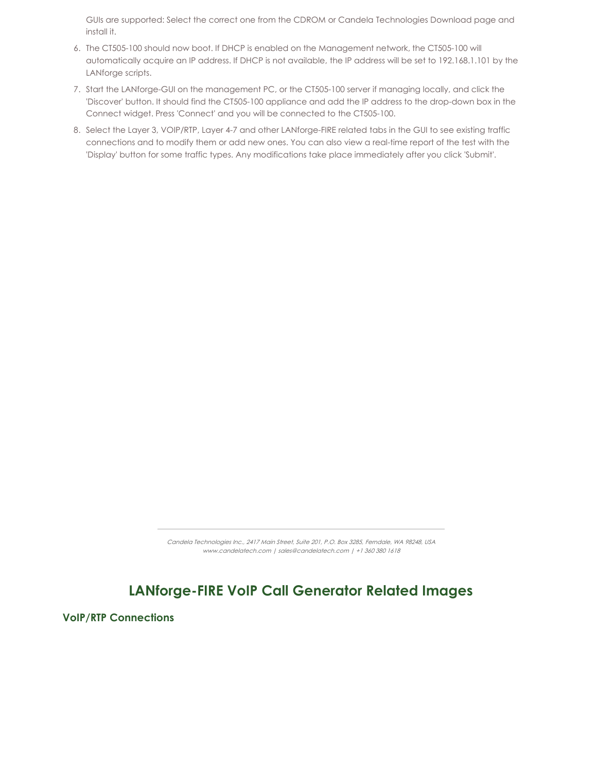GUIs are supported: Select the correct one from the CDROM or Candela Technologies Download page and install it.

- 6. The CT505-100 should now boot. If DHCP is enabled on the Management network, the CT505-100 will automatically acquire an IP address. If DHCP is not available, the IP address will be set to 192.168.1.101 by the LANforge scripts.
- 7. Start the LANforge-GUI on the management PC, or the CT505-100 server if managing locally, and click the 'Discover' button. It should find the CT505-100 appliance and add the IP address to the drop-down box in the Connect widget. Press 'Connect' and you will be connected to the CT505-100.
- 8. Select the Layer 3, VOIP/RTP, Layer 4-7 and other LANforge-FIRE related tabs in the GUI to see existing traffic connections and to modify them or add new ones. You can also view a real-time report of the test with the 'Display' button for some traffic types. Any modifications take place immediately after you click 'Submit'.

Candela Technologies Inc., 2417 Main Street, Suite 201, P.O. Box 3285, Ferndale, WA 98248, USA www.candelatech.com | sales@candelatech.com | +1 360 380 1618

### **LANforge-FIRE VoIP Call Generator Related Images**

**VoIP/RTP Connections**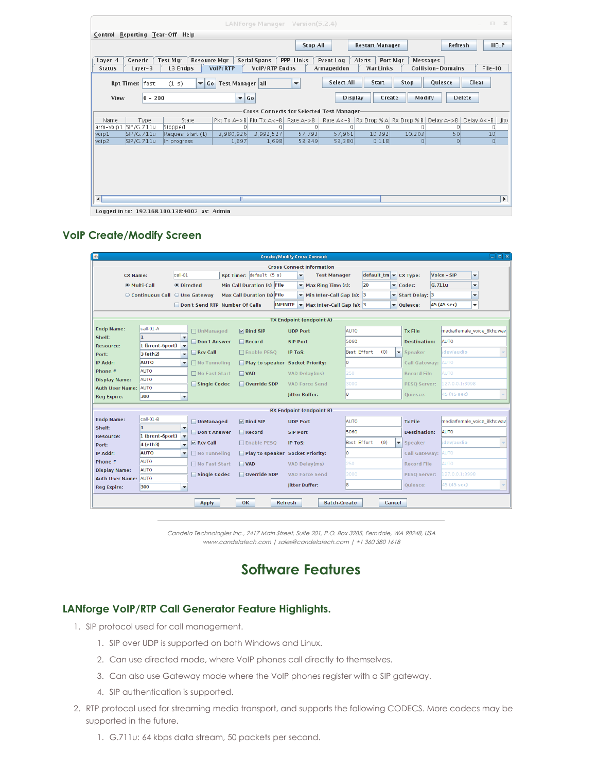| $\Box$<br>$\times$<br>LAN forge Manager<br>Version(5.2.4)<br>$\overline{a}$                                                                  |                                            |                                             |                                |                                                    |                                     |  |  |  |  |  |  |
|----------------------------------------------------------------------------------------------------------------------------------------------|--------------------------------------------|---------------------------------------------|--------------------------------|----------------------------------------------------|-------------------------------------|--|--|--|--|--|--|
| Control Reporting Tear-Off Help                                                                                                              |                                            |                                             |                                |                                                    |                                     |  |  |  |  |  |  |
|                                                                                                                                              | <b>Restart Manager</b>                     | Refresh                                     | <b>HELP</b>                    |                                                    |                                     |  |  |  |  |  |  |
| Generic<br><b>Test Mgr</b><br><b>Resource Mgr</b><br>Layer-4<br>L3 Endps<br><b>Status</b><br>Layer-3                                         | Serial Spans<br>VoIP/RTP<br>VolP/RTP Endps | PPP-Links<br><b>Event Log</b><br>Armageddon | Alerts<br>Port Mgr<br>WanLinks | Messages<br><b>Collision-Domains</b>               | File-IO                             |  |  |  |  |  |  |
| <b>Select All</b><br><b>Start</b><br>Stop<br>Quiesce<br>Clear<br>Rpt Timer: fast<br>(1 s)<br>Go Test Manager all<br>$\overline{\phantom{a}}$ |                                            |                                             |                                |                                                    |                                     |  |  |  |  |  |  |
| $ 0 - 200 $<br>View                                                                                                                          | $\overline{\phantom{a}}$ Go                |                                             | <b>Display</b><br>Create       | Modify                                             | <b>Delete</b>                       |  |  |  |  |  |  |
| Cross Connects for Selected Test Manager-                                                                                                    |                                            |                                             |                                |                                                    |                                     |  |  |  |  |  |  |
| State<br>Name<br>Type                                                                                                                        | Pkt $Tx \land -> B$ Pkt $Tx \land < -B$    | Rate $A->B$                                 |                                | Rate A<-B   Rx Drop % A   Rx Drop % B   Delay A->B | Delay $A < -B$<br>Jitt <sub>i</sub> |  |  |  |  |  |  |
| SIP/G.711u<br>arm-voip1<br>Stopped                                                                                                           | Ω<br>∩                                     |                                             | $\Omega$                       |                                                    | 0                                   |  |  |  |  |  |  |
| voip1<br>SIP/G.711u<br>Request Start (1)                                                                                                     | 3,980,926<br>3,992,527                     | 57,793                                      | 57,961<br>10.392               | 50<br>10.203                                       | 10                                  |  |  |  |  |  |  |
| voip2<br>SIP/G.711u<br>In progress                                                                                                           | 1,697<br>1,698                             | 53,349                                      | 53,380<br>0.118                | $\circ$<br>$\circ$                                 | 0                                   |  |  |  |  |  |  |
|                                                                                                                                              |                                            |                                             |                                |                                                    |                                     |  |  |  |  |  |  |
|                                                                                                                                              |                                            |                                             |                                |                                                    |                                     |  |  |  |  |  |  |
| ا کا<br>Logged in to: 192168 100 138:4002 as: Admin                                                                                          | $\parallel \parallel$                      |                                             |                                |                                                    | k                                   |  |  |  |  |  |  |

#### **VoIP Create/Modify Screen**

| $\Box$ alx<br><b>Create/Modify Cross Connect</b><br>$\frac{1}{2}$                                                                                                  |                               |                          |                                                                             |  |                                  |                                                                                 |             |                                     |                                 |                                |  |
|--------------------------------------------------------------------------------------------------------------------------------------------------------------------|-------------------------------|--------------------------|-----------------------------------------------------------------------------|--|----------------------------------|---------------------------------------------------------------------------------|-------------|-------------------------------------|---------------------------------|--------------------------------|--|
| <b>Cross Connect Information</b>                                                                                                                                   |                               |                          |                                                                             |  |                                  |                                                                                 |             |                                     |                                 |                                |  |
| call-01<br><b>CX Name:</b>                                                                                                                                         |                               |                          | Rpt Timer: default (5 s)<br><b>Test Manager</b><br>$\overline{\phantom{0}}$ |  |                                  | $\left \text{default} \cdot \text{tm}\right  \leq \left \text{CX Type:}\right $ |             | Voice - SIP<br>$\blacktriangledown$ |                                 |                                |  |
|                                                                                                                                                                    | @ Multi-Call                  | <b>O</b> Directed        |                                                                             |  | Min Call Duration (s) File       | $\blacktriangleright$ Max Ring Time (s):                                        | 20          |                                     | $\blacktriangleright$ Codec:    | G.711u<br>$\blacktriangledown$ |  |
|                                                                                                                                                                    | Continuous Call C Use Gateway |                          |                                                                             |  | Max Call Duration (s) File       | $\blacktriangleright$ Min Inter-Call Gap (s): 3                                 |             |                                     | ▼ Start Delay: 3                | $\blacktriangledown$           |  |
| 45 (45 sec)<br><b>INFINITE <math>\blacktriangledown</math> Max Inter-Call Gap (s): 3</b><br>$\overline{\phantom{a}}$<br>Don't Send RTP Number Of Calls<br>Duiesce: |                               |                          |                                                                             |  |                                  |                                                                                 |             |                                     |                                 |                                |  |
|                                                                                                                                                                    |                               |                          |                                                                             |  |                                  |                                                                                 |             |                                     |                                 |                                |  |
| <b>TX Endpoint (endpoint A)</b>                                                                                                                                    |                               |                          |                                                                             |  |                                  |                                                                                 |             |                                     |                                 |                                |  |
| <b>Endp Name:</b>                                                                                                                                                  | call-01-A<br>h.               | $\overline{\phantom{a}}$ | □ UnManaged                                                                 |  | $\nabla$ Bind SIP                | <b>UDP Port</b>                                                                 | <b>AUTO</b> |                                     | <b>Tx File</b>                  | media/female voice 8khz.wav    |  |
| Shelf:<br>Resource:                                                                                                                                                | 1 (brent-6port)               |                          | Don't Answer                                                                |  | $\Box$ Record                    | <b>SIP Port</b>                                                                 | 5060        |                                     | <b>Destination:</b>             | <b>AUTO</b>                    |  |
| Port:                                                                                                                                                              | 3 (eth2)                      | $\checkmark$             | Rcv Call                                                                    |  | □ Enable PESQ                    | <b>IP ToS:</b>                                                                  | Best Effort | (0)                                 | Speaker<br>$\blacktriangledown$ | dev/audio                      |  |
| IP Addr:                                                                                                                                                           | <b>AUTO</b>                   | $\blacktriangledown$     | $\Box$ No Tunneling                                                         |  | Play to speaker Socket Priority: |                                                                                 | O           |                                     | Call Gateway: AUTO              |                                |  |
| Phone #                                                                                                                                                            | <b>AUTO</b>                   |                          | □ No Fast Start                                                             |  | $\Box$ VAD                       | VAD Delay(ms)                                                                   | 250         |                                     | <b>Record File</b>              | <b>AUTO</b>                    |  |
| <b>Display Name:</b>                                                                                                                                               | <b>AUTO</b>                   |                          | Single Codec                                                                |  | Override SDP                     | <b>VAD Force Send</b>                                                           | 3000        |                                     | PESQ Server:                    | 127.0.0.1:3998                 |  |
| <b>Auth User Name:</b>                                                                                                                                             | <b>AUTO</b>                   |                          |                                                                             |  |                                  | litter Buffer:                                                                  | 8           |                                     | Ouiesce:                        | 45 (45 sec)                    |  |
| <b>Reg Expire:</b>                                                                                                                                                 | 300                           | $\blacktriangledown$     |                                                                             |  |                                  |                                                                                 |             |                                     |                                 |                                |  |
|                                                                                                                                                                    |                               |                          |                                                                             |  |                                  | <b>RX Endpoint (endpoint B)</b>                                                 |             |                                     |                                 |                                |  |
| <b>Endp Name:</b>                                                                                                                                                  | call-01-B                     |                          | <b>UnManaged</b>                                                            |  | $V$ Bind SIP                     | <b>UDP Port</b>                                                                 | AUTO        |                                     | <b>Tx File</b>                  | media/female voice 8khz.wav    |  |
| Shelf:                                                                                                                                                             |                               | $\overline{\phantom{a}}$ | Don't Answer                                                                |  | $\Box$ Record                    | <b>SIP Port</b>                                                                 | 5060        |                                     | <b>Destination:</b>             | <b>AUTO</b>                    |  |
| <b>Resource:</b>                                                                                                                                                   | 1 (brent-6port)               | $\overline{\mathbf{v}}$  | $V$ Rcv Call                                                                |  | □ Enable PESQ                    | <b>IP ToS:</b>                                                                  | Best Effort | (0)                                 | $\blacktriangledown$<br>Speaker | dev/audio                      |  |
| Port:                                                                                                                                                              | 4 (eth3)                      | $\overline{\mathbf{v}}$  |                                                                             |  |                                  |                                                                                 |             |                                     |                                 |                                |  |
| IP Addr:<br>Phone #                                                                                                                                                | <b>AUTO</b><br><b>AUTO</b>    | $\overline{\phantom{a}}$ | $\Box$ No Tunneling                                                         |  | Play to speaker Socket Priority: |                                                                                 | ١o          |                                     | Call Gateway:                   | <b>AUTO</b>                    |  |
| <b>Display Name:</b>                                                                                                                                               | <b>AUTO</b>                   |                          | □ No Fast Start                                                             |  | $\blacksquare$ VAD               | VAD Delay(ms)                                                                   | 250         |                                     | <b>Record File</b>              | <b>AUTO</b>                    |  |
| <b>Auth User Name:</b>                                                                                                                                             | <b>AUTO</b>                   |                          | Single Codec                                                                |  | Override SDP                     | <b>VAD Force Send</b>                                                           | 3000        |                                     | <b>PESO Server:</b>             | 127.0.0.1:3998                 |  |
| <b>Reg Expire:</b>                                                                                                                                                 | 300                           | $\blacktriangledown$     |                                                                             |  |                                  | <b>Jitter Buffer:</b>                                                           | 8           |                                     | Quiesce:                        | 45 (45 sec)                    |  |
|                                                                                                                                                                    |                               |                          |                                                                             |  |                                  |                                                                                 |             |                                     |                                 |                                |  |
| <b>Batch-Create</b><br>OK<br>Refresh<br>Cancel<br><b>Apply</b>                                                                                                     |                               |                          |                                                                             |  |                                  |                                                                                 |             |                                     |                                 |                                |  |

Candela Technologies Inc., 2417 Main Street, Suite 201, P.O. Box 3285, Ferndale, WA 98248, USA www.candelatech.com | sales@candelatech.com | +1 360 380 1618

### **Software Features**

#### **LANforge VoIP/RTP Call Generator Feature Highlights.**

- 1. SIP protocol used for call management.
	- 1. SIP over UDP is supported on both Windows and Linux.
	- 2. Can use directed mode, where VoIP phones call directly to themselves.
	- 3. Can also use Gateway mode where the VoIP phones register with a SIP gateway.
	- 4. SIP authentication is supported.
- 2. RTP protocol used for streaming media transport, and supports the following CODECS. More codecs may be supported in the future.
	- 1. G.711u: 64 kbps data stream, 50 packets per second.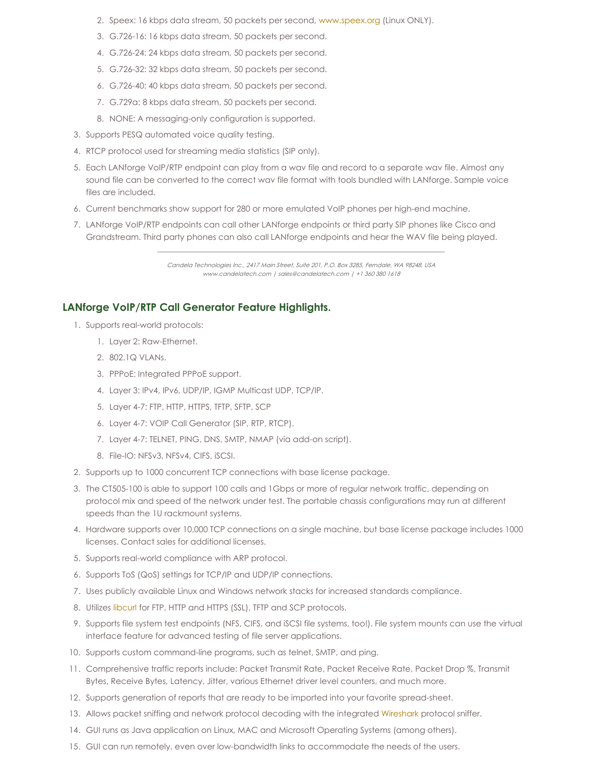- 2. Speex: 16 kbps data stream, 50 packets per second, [www.speex.org](http://www.speex.org) (Linux ONLY).
- 3. G.726-16: 16 kbps data stream, 50 packets per second.
- 4. G.726-24: 24 kbps data stream, 50 packets per second.
- 5. G.726-32: 32 kbps data stream, 50 packets per second.
- 6. G.726-40: 40 kbps data stream, 50 packets per second.
- 7. G.729a: 8 kbps data stream, 50 packets per second.
- 8. NONE: A messaging-only configuration is supported.
- 3. Supports PESQ automated voice quality testing.
- 4. RTCP protocol used for streaming media statistics (SIP only).
- 5. Each LANforge VoIP/RTP endpoint can play from a wav file and record to a separate wav file. Almost any sound file can be converted to the correct wav file format with tools bundled with LANforge. Sample voice files are included.
- 6. Current benchmarks show support for 280 or more emulated VoIP phones per high-end machine.
- 7. LANforge VoIP/RTP endpoints can call other LANforge endpoints or third party SIP phones like Cisco and Grandstream. Third party phones can also call LANforge endpoints and hear the WAV file being played.

Candela Technologies Inc., 2417 Main Street, Suite 201, P.O. Box 3285, Ferndale, WA 98248, USA www.candelatech.com | sales@candelatech.com | +1 360 380 1618

#### **LANforge VoIP/RTP Call Generator Feature Highlights.**

- 1. Supports real-world protocols:
	- 1. Layer 2: Raw-Ethernet.
	- 2. 802.1Q VLANs.
	- 3. PPPoE: Integrated PPPoE support.
	- 4. Layer 3: IPv4, IPv6, UDP/IP, IGMP Multicast UDP, TCP/IP.
	- 5. Layer 4-7: FTP, HTTP, HTTPS, TFTP, SFTP, SCP
	- 6. Layer 4-7: VOIP Call Generator (SIP, RTP, RTCP).
	- 7. Layer 4-7: TELNET, PING, DNS, SMTP, NMAP (via add-on script).
	- 8. File-IO: NFSv3, NFSv4, CIFS, iSCSI.
- 2. Supports up to 1000 concurrent TCP connections with base license package.
- 3. The CT505-100 is able to support 100 calls and 1Gbps or more of regular network traffic, depending on protocol mix and speed of the network under test. The portable chassis configurations may run at different speeds than the 1U rackmount systems.
- 4. Hardware supports over 10,000 TCP connections on a single machine, but base license package includes 1000 licenses. Contact sales for additional licenses.
- 5. Supports real-world compliance with ARP protocol.
- 6. Supports ToS (QoS) settings for TCP/IP and UDP/IP connections.
- 7. Uses publicly available Linux and Windows network stacks for increased standards compliance.
- 8. Utilizes [libcurl](http://curl.haxx.se/libcurl/) for FTP, HTTP and HTTPS (SSL), TFTP and SCP protocols.
- 9. Supports file system test endpoints (NFS, CIFS, and iSCSI file systems, too!). File system mounts can use the virtual interface feature for advanced testing of file server applications.
- 10. Supports custom command-line programs, such as telnet, SMTP, and ping.
- 11. Comprehensive traffic reports include: Packet Transmit Rate, Packet Receive Rate, Packet Drop %, Transmit Bytes, Receive Bytes, Latency, Jitter, various Ethernet driver level counters, and much more.
- 12. Supports generation of reports that are ready to be imported into your favorite spread-sheet.
- 13. Allows packet sniffing and network protocol decoding with the integrated [Wireshark](http://www.wireshark.org) protocol sniffer.
- 14. GUI runs as Java application on Linux, MAC and Microsoft Operating Systems (among others).
- 15. GUI can run remotely, even over low-bandwidth links to accommodate the needs of the users.